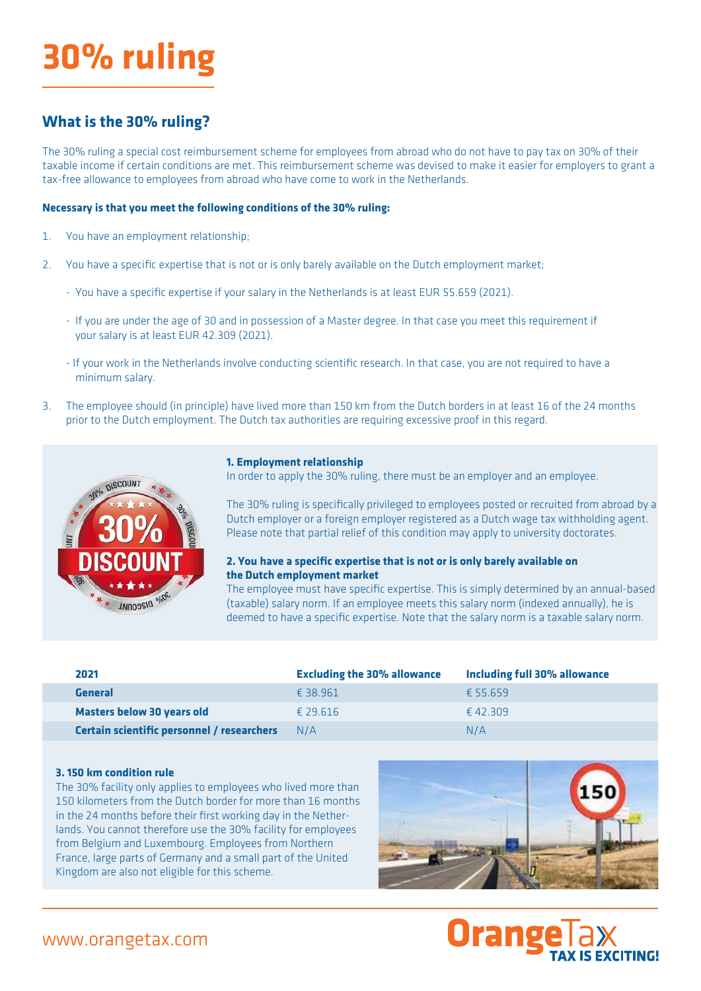# **30% ruling**

## **What is the 30% ruling?**

The 30% ruling a special cost reimbursement scheme for employees from abroad who do not have to pay tax on 30% of their taxable income if certain conditions are met. This reimbursement scheme was devised to make it easier for employers to grant a tax-free allowance to employees from abroad who have come to work in the Netherlands.

#### **Necessary is that you meet the following conditions of the 30% ruling:**

- 1. You have an employment relationship;
- 2. You have a specific expertise that is not or is only barely available on the Dutch employment market;
	- You have a specific expertise if your salary in the Netherlands is at least EUR 55.659 (2021).
	- If you are under the age of 30 and in possession of a Master degree. In that case you meet this requirement if your salary is at least EUR 42.309 (2021).
	- If your work in the Netherlands involve conducting scientific research. In that case, you are not required to have a minimum salary.
- 3. The employee should (in principle) have lived more than 150 km from the Dutch borders in at least 16 of the 24 months prior to the Dutch employment. The Dutch tax authorities are requiring excessive proof in this regard.



#### **1. Employment relationship**

In order to apply the 30% ruling, there must be an employer and an employee.

The 30% ruling is specifically privileged to employees posted or recruited from abroad by a Dutch employer or a foreign employer registered as a Dutch wage tax withholding agent. Please note that partial relief of this condition may apply to university doctorates.

#### **2. You have a specific expertise that is not or is only barely available on the Dutch employment market**

The employee must have specific expertise. This is simply determined by an annual-based (taxable) salary norm. If an employee meets this salary norm (indexed annually), he is deemed to have a specific expertise. Note that the salary norm is a taxable salary norm.

| 2021                                       | <b>Excluding the 30% allowance</b> | <b>Including full 30% allowance</b> |
|--------------------------------------------|------------------------------------|-------------------------------------|
| General                                    | £ 38.961                           | £55.659                             |
| Masters below 30 years old                 | £ 29.616                           | £42.309                             |
| Certain scientific personnel / researchers | N/A                                | N/A                                 |

#### **3. 150 km condition rule**

The 30% facility only applies to employees who lived more than 150 kilometers from the Dutch border for more than 16 months in the 24 months before their first working day in the Netherlands. You cannot therefore use the 30% facility for employees from Belgium and Luxembourg. Employees from Northern France, large parts of Germany and a small part of the United Kingdom are also not eligible for this scheme.





## www.orangetax.com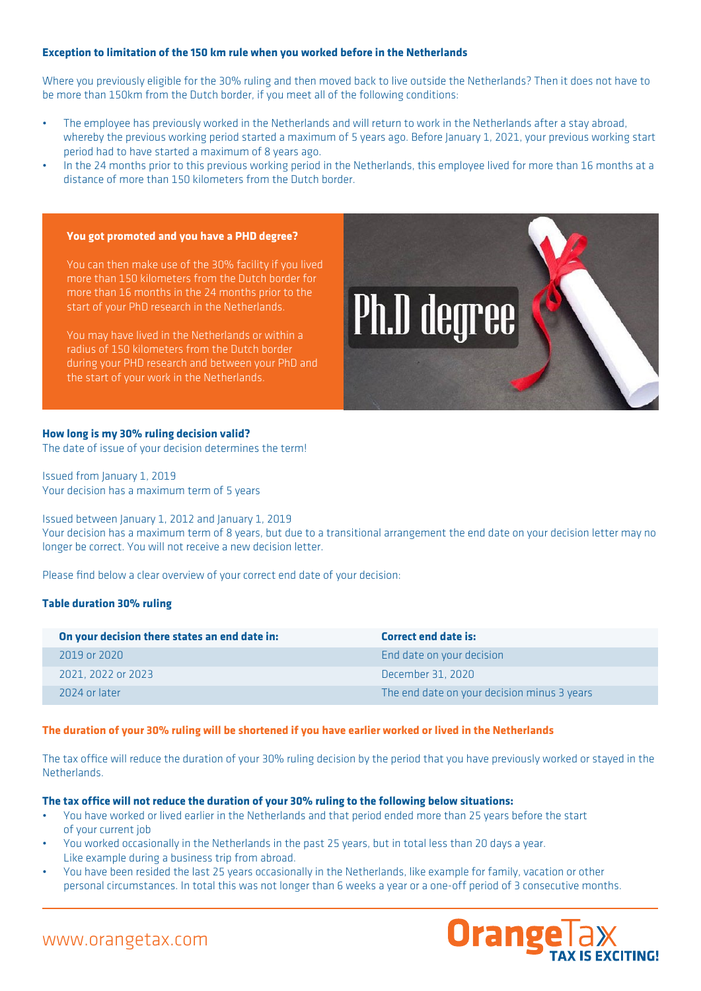#### **Exception to limitation of the 150 km rule when you worked before in the Netherlands**

Where you previously eligible for the 30% ruling and then moved back to live outside the Netherlands? Then it does not have to be more than 150km from the Dutch border, if you meet all of the following conditions:

- The employee has previously worked in the Netherlands and will return to work in the Netherlands after a stay abroad, whereby the previous working period started a maximum of 5 years ago. Before January 1, 2021, your previous working start period had to have started a maximum of 8 years ago.
- In the 24 months prior to this previous working period in the Netherlands, this employee lived for more than 16 months at a distance of more than 150 kilometers from the Dutch border.

#### **You got promoted and you have a PHD degree?**

You can then make use of the 30% facility if you lived more than 150 kilometers from the Dutch border for more than 16 months in the 24 months prior to the start of your PhD research in the Netherlands.

You may have lived in the Netherlands or within a radius of 150 kilometers from the Dutch border during your PHD research and between your PhD and the start of your work in the Netherlands.



#### **How long is my 30% ruling decision valid?**

The date of issue of your decision determines the term!

Issued from January 1, 2019 Your decision has a maximum term of 5 years

Issued between January 1, 2012 and January 1, 2019

Your decision has a maximum term of 8 years, but due to a transitional arrangement the end date on your decision letter may no longer be correct. You will not receive a new decision letter.

Please find below a clear overview of your correct end date of your decision:

#### **Table duration 30% ruling**

| On your decision there states an end date in: | <b>Correct end date is:</b>                 |
|-----------------------------------------------|---------------------------------------------|
| 2019 or 2020                                  | End date on your decision                   |
| 2021, 2022 or 2023                            | December 31, 2020                           |
| 2024 or later                                 | The end date on your decision minus 3 years |

#### **The duration of your 30% ruling will be shortened if you have earlier worked or lived in the Netherlands**

The tax office will reduce the duration of your 30% ruling decision by the period that you have previously worked or stayed in the Netherlands.

#### **The tax office will not reduce the duration of your 30% ruling to the following below situations:**

- You have worked or lived earlier in the Netherlands and that period ended more than 25 years before the start of your current job
- You worked occasionally in the Netherlands in the past 25 years, but in total less than 20 days a year. Like example during a business trip from abroad.
- You have been resided the last 25 years occasionally in the Netherlands, like example for family, vacation or other personal circumstances. In total this was not longer than 6 weeks a year or a one-off period of 3 consecutive months.



### www.orangetax.com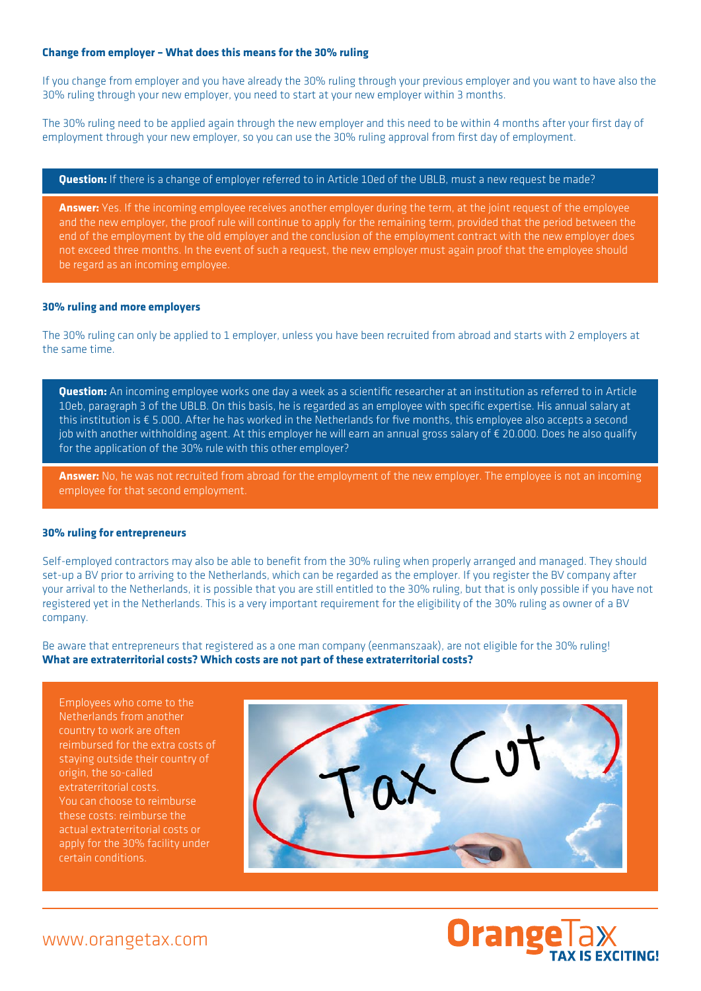#### **Change from employer – What does this means for the 30% ruling**

If you change from employer and you have already the 30% ruling through your previous employer and you want to have also the 30% ruling through your new employer, you need to start at your new employer within 3 months.

The 30% ruling need to be applied again through the new employer and this need to be within 4 months after your first day of employment through your new employer, so you can use the 30% ruling approval from first day of employment.

#### **Question:** If there is a change of employer referred to in Article 10ed of the UBLB, must a new request be made?

**Answer:** Yes. If the incoming employee receives another employer during the term, at the joint request of the employee and the new employer, the proof rule will continue to apply for the remaining term, provided that the period between the end of the employment by the old employer and the conclusion of the employment contract with the new employer does not exceed three months. In the event of such a request, the new employer must again proof that the employee should be regard as an incoming employee.

#### **30% ruling and more employers**

The 30% ruling can only be applied to 1 employer, unless you have been recruited from abroad and starts with 2 employers at the same time.

**Question:** An incoming employee works one day a week as a scientific researcher at an institution as referred to in Article 10eb, paragraph 3 of the UBLB. On this basis, he is regarded as an employee with specific expertise. His annual salary at this institution is € 5.000. After he has worked in the Netherlands for five months, this employee also accepts a second job with another withholding agent. At this employer he will earn an annual gross salary of € 20.000. Does he also qualify for the application of the 30% rule with this other employer?

**Answer:** No, he was not recruited from abroad for the employment of the new employer. The employee is not an incoming employee for that second employment.

#### **30% ruling for entrepreneurs**

Self-employed contractors may also be able to benefit from the 30% ruling when properly arranged and managed. They should set-up a BV prior to arriving to the Netherlands, which can be regarded as the employer. If you register the BV company after your arrival to the Netherlands, it is possible that you are still entitled to the 30% ruling, but that is only possible if you have not registered yet in the Netherlands. This is a very important requirement for the eligibility of the 30% ruling as owner of a BV company.

Be aware that entrepreneurs that registered as a one man company (eenmanszaak), are not eligible for the 30% ruling! **What are extraterritorial costs? Which costs are not part of these extraterritorial costs?**

Employees who come to the Netherlands from another country to work are often reimbursed for the extra costs of staying outside their country of origin, the so-called extraterritorial costs. You can choose to reimburse these costs: reimburse the actual extraterritorial costs or apply for the 30% facility under certain conditions.



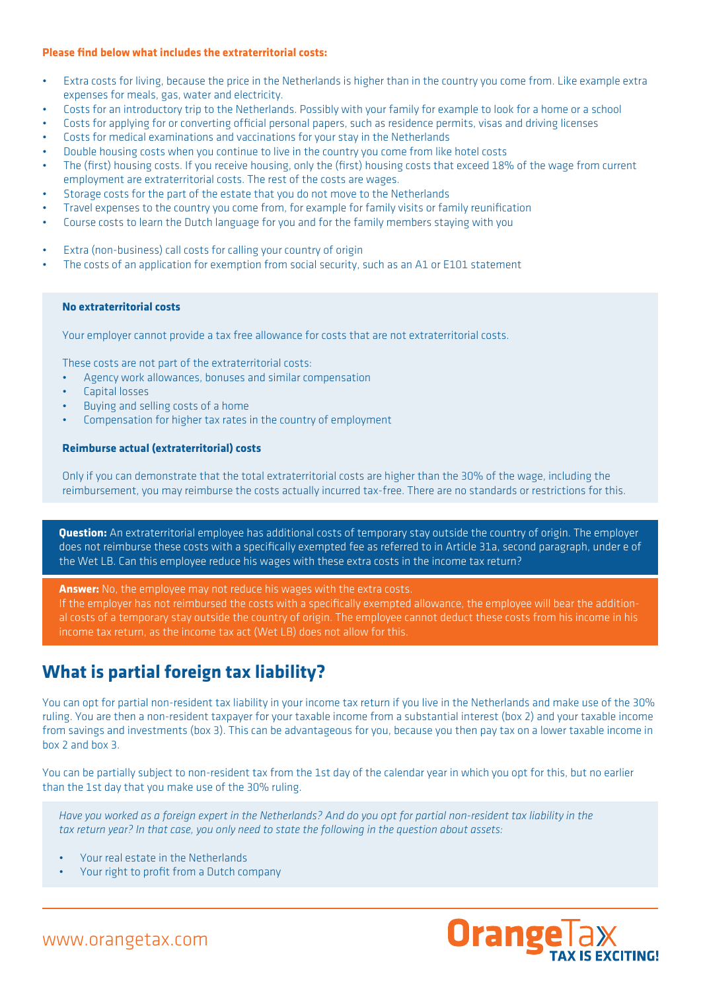#### **Please find below what includes the extraterritorial costs:**

- Extra costs for living, because the price in the Netherlands is higher than in the country you come from. Like example extra expenses for meals, gas, water and electricity.
- Costs for an introductory trip to the Netherlands. Possibly with your family for example to look for a home or a school
- Costs for applying for or converting official personal papers, such as residence permits, visas and driving licenses
- Costs for medical examinations and vaccinations for your stay in the Netherlands
- Double housing costs when you continue to live in the country you come from like hotel costs
- The (first) housing costs. If you receive housing, only the (first) housing costs that exceed 18% of the wage from current employment are extraterritorial costs. The rest of the costs are wages.
- Storage costs for the part of the estate that you do not move to the Netherlands
- Travel expenses to the country you come from, for example for family visits or family reunification
- Course costs to learn the Dutch language for you and for the family members staying with you
- Extra (non-business) call costs for calling your country of origin
- The costs of an application for exemption from social security, such as an A1 or E101 statement

#### **No extraterritorial costs**

Your employer cannot provide a tax free allowance for costs that are not extraterritorial costs.

These costs are not part of the extraterritorial costs:

- Agency work allowances, bonuses and similar compensation
- Capital losses
- Buying and selling costs of a home
- Compensation for higher tax rates in the country of employment

#### **Reimburse actual (extraterritorial) costs**

Only if you can demonstrate that the total extraterritorial costs are higher than the 30% of the wage, including the reimbursement, you may reimburse the costs actually incurred tax-free. There are no standards or restrictions for this.

**Question:** An extraterritorial employee has additional costs of temporary stay outside the country of origin. The employer does not reimburse these costs with a specifically exempted fee as referred to in Article 31a, second paragraph, under e of the Wet LB. Can this employee reduce his wages with these extra costs in the income tax return?

**Answer:** No, the employee may not reduce his wages with the extra costs.

If the employer has not reimbursed the costs with a specifically exempted allowance, the employee will bear the additional costs of a temporary stay outside the country of origin. The employee cannot deduct these costs from his income in his income tax return, as the income tax act (Wet LB) does not allow for this.

## **What is partial foreign tax liability?**

You can opt for partial non-resident tax liability in your income tax return if you live in the Netherlands and make use of the 30% ruling. You are then a non-resident taxpayer for your taxable income from a substantial interest (box 2) and your taxable income from savings and investments (box 3). This can be advantageous for you, because you then pay tax on a lower taxable income in  $h(x)$  and  $h(x)$ 

You can be partially subject to non-resident tax from the 1st day of the calendar year in which you opt for this, but no earlier than the 1st day that you make use of the 30% ruling.

*Have you worked as a foreign expert in the Netherlands? And do you opt for partial non-resident tax liability in the tax return year? In that case, you only need to state the following in the question about assets:*

- Your real estate in the Netherlands
- Your right to profit from a Dutch company

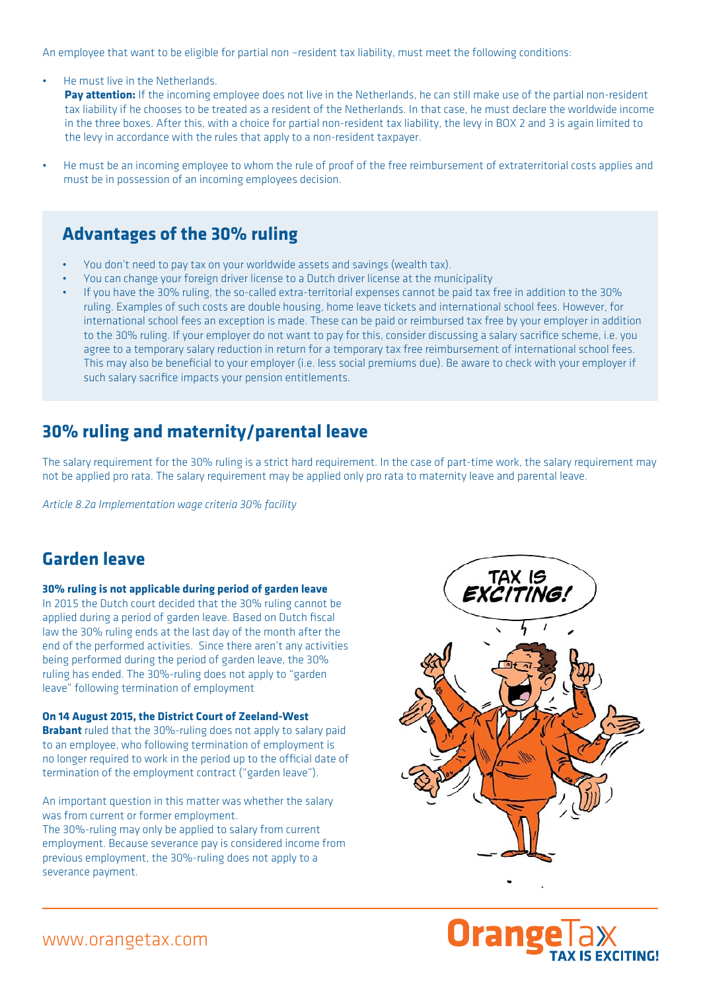An employee that want to be eligible for partial non –resident tax liability, must meet the following conditions:

He must live in the Netherlands.

Pay attention: If the incoming employee does not live in the Netherlands, he can still make use of the partial non-resident tax liability if he chooses to be treated as a resident of the Netherlands. In that case, he must declare the worldwide income in the three boxes. After this, with a choice for partial non-resident tax liability, the levy in BOX 2 and 3 is again limited to the levy in accordance with the rules that apply to a non-resident taxpayer.

• He must be an incoming employee to whom the rule of proof of the free reimbursement of extraterritorial costs applies and must be in possession of an incoming employees decision.

## **Advantages of the 30% ruling**

- You don't need to pay tax on your worldwide assets and savings (wealth tax).
- You can change your foreign driver license to a Dutch driver license at the municipality
- If you have the 30% ruling, the so-called extra-territorial expenses cannot be paid tax free in addition to the 30% ruling. Examples of such costs are double housing, home leave tickets and international school fees. However, for international school fees an exception is made. These can be paid or reimbursed tax free by your employer in addition to the 30% ruling. If your employer do not want to pay for this, consider discussing a salary sacrifice scheme, i.e. you agree to a temporary salary reduction in return for a temporary tax free reimbursement of international school fees. This may also be beneficial to your employer (i.e. less social premiums due). Be aware to check with your employer if such salary sacrifice impacts your pension entitlements.

# **30% ruling and maternity/parental leave**

The salary requirement for the 30% ruling is a strict hard requirement. In the case of part-time work, the salary requirement may not be applied pro rata. The salary requirement may be applied only pro rata to maternity leave and parental leave.

*Article 8.2a Implementation wage criteria 30% facility*

# **Garden leave**

#### **30% ruling is not applicable during period of garden leave**

In 2015 the Dutch court decided that the 30% ruling cannot be applied during a period of garden leave. Based on Dutch fiscal law the 30% ruling ends at the last day of the month after the end of the performed activities. Since there aren't any activities being performed during the period of garden leave, the 30% ruling has ended. The 30%-ruling does not apply to "garden leave" following termination of employment

#### **On 14 August 2015, the District Court of Zeeland-West**

**Brabant** ruled that the 30%-ruling does not apply to salary paid to an employee, who following termination of employment is no longer required to work in the period up to the official date of termination of the employment contract ("garden leave").

An important question in this matter was whether the salary was from current or former employment.

The 30%-ruling may only be applied to salary from current employment. Because severance pay is considered income from previous employment, the 30%-ruling does not apply to a severance payment.





## www.orangetax.com